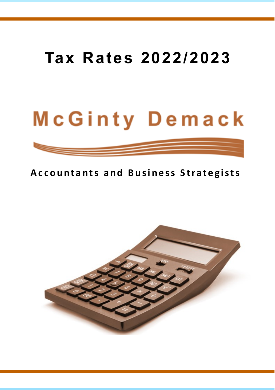## **Tax Rates 2022/2023**

# McGinty Demack

## **Accountants and Business Strategists**

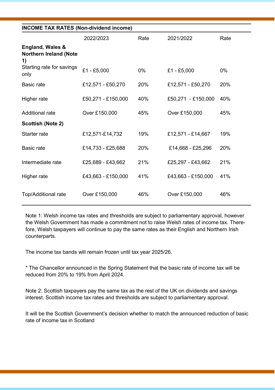|                                                  | <b>INCOME TAX RATES (Non-dividend income)</b> |       |                    |       |  |
|--------------------------------------------------|-----------------------------------------------|-------|--------------------|-------|--|
|                                                  | 2022/2023                                     | Rate  | 2021/2022          | Rate  |  |
| England, Wales &<br>Northern Ireland (Note<br>1) |                                               |       |                    |       |  |
| Starting rate for savings<br>only                | $£1 - £5,000$                                 | $0\%$ | £1 - £5,000        | $0\%$ |  |
| Basic rate                                       | £12,571 - £50,270                             | 20%   | £12,571 - £50,270  | 20%   |  |
| Higher rate                                      | £50,271 - £150,000                            | 40%   | £50,271 - £150,000 | 40%   |  |
| Additional rate                                  | Over £150,000                                 | 45%   | Over £150,000      | 45%   |  |
| Scottish (Note 2)                                |                                               |       |                    |       |  |
| Starter rate                                     | £12,571-£14,732                               | 19%   | £12,571 - £14,667  | 19%   |  |
| Basic rate                                       | £14,733 - £25,688                             | 20%   | £14,668 - £25,296  | 20%   |  |
| Intermediate rate                                | £25,689 - £43,662                             | 21%   | £25,297 - £43,662  | 21%   |  |
| Higher rate                                      | £43,663 - £150,000                            | 41%   | £43,663 - £150,000 | 41%   |  |
| Top/Additional rate                              | Over £150,000                                 | 46%   | Over £150,000      | 46%   |  |
|                                                  |                                               |       |                    |       |  |

Note 1: Welsh income tax rates and thresholds are subject to parliamentary approval, however the Welsh Government has made a commitment not to raise Welsh rates of income tax. Therefore, Welsh taxpayers will continue to pay the same rates as their English and Northern Irish counterparts.

The income tax bands will remain frozen until tax year 2025/26.

\* The Chancellor announced in the Spring Statement that the basic rate of income tax will be reduced from 20% to 19% from April 2024.

Note 2: Scottish taxpayers pay the same tax as the rest of the UK on dividends and savings interest. Scottish income tax rates and thresholds are subject to parliamentary approval.

It will be the Scottish Government's decision whether to match the announced reduction of basic rate of income tax in Scotland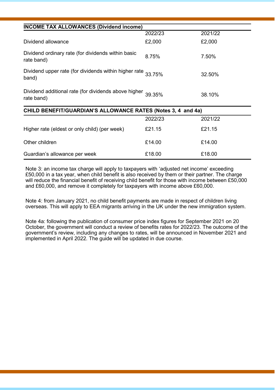| <b>INCOME TAX ALLOWANCES (Dividend income)</b>                        |         |          |  |
|-----------------------------------------------------------------------|---------|----------|--|
|                                                                       | 2022/23 | 2021/22  |  |
| Dividend allowance                                                    | £2,000  | £2,000   |  |
| Dividend ordinary rate (for dividends within basic<br>rate band)      | 8.75%   | 7.50%    |  |
| Dividend upper rate (for dividends within higher rate 33.75%<br>band) |         | 32.50%   |  |
| Dividend additional rate (for dividends above higher<br>rate band)    | 39 35%  | 38.10%   |  |
| CHILD BENEFIT/GUARDIAN'S ALLOWANCE RATES (Notes 3, 4 and 4a)          |         |          |  |
|                                                                       | 0.00000 | 0.001100 |  |

|                                               | 2022/23 | 2021/22 |
|-----------------------------------------------|---------|---------|
| Higher rate (eldest or only child) (per week) | £21.15  | £21.15  |
| Other children                                | £14.00  | £14.00  |
| Guardian's allowance per week                 | £18.00  | £18.00  |

Note 3: an income tax charge will apply to taxpayers with 'adjusted net income' exceeding £50,000 in a tax year, when child benefit is also received by them or their partner. The charge will reduce the financial benefit of receiving child benefit for those with income between £50,000 and £60,000, and remove it completely for taxpayers with income above £60,000.

Note 4: from January 2021, no child benefit payments are made in respect of children living overseas. This will apply to EEA migrants arriving in the UK under the new immigration system.

Note 4a: following the publication of consumer price index figures for September 2021 on 20 October, the government will conduct a review of benefits rates for 2022/23. The outcome of the government's review, including any changes to rates, will be announced in November 2021 and implemented in April 2022. The guide will be updated in due course.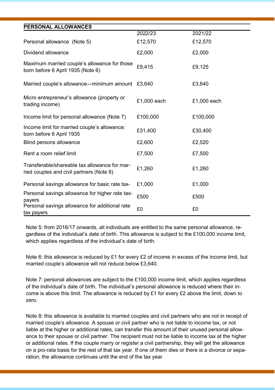| PERSONAL ALLOWANCES                                                                       |             |             |  |
|-------------------------------------------------------------------------------------------|-------------|-------------|--|
|                                                                                           | 2022/23     | 2021/22     |  |
| Personal allowance (Note 5)                                                               | £12,570     | £12,570     |  |
| Dividend allowance                                                                        | £2,000      | £2,000      |  |
| Maximum married couple's allowance for those<br>born before 6 April 1935 (Note 6)         | £9,415      | £9,125      |  |
| Married couple's allowance—minimum amount £3,640                                          |             | £3,640      |  |
| Micro entrepreneur's allowance (property or<br>trading income)                            | £1,000 each | £1,000 each |  |
| Income limit for personal allowance (Note 7)                                              | £100,000    | £100,000    |  |
| Income limit for married couple's allowance:<br>born before 6 April 1935                  | £31,400     | £30,400     |  |
| Blind persons allowance                                                                   | £2,600      | £2,520      |  |
| Rent a room relief limit                                                                  | £7,500      | £7,500      |  |
| Transferable/shareable tax allowance for mar-<br>ried couples and civil partners (Note 8) | £1,260      | £1,260      |  |
| Personal savings allowance for basic rate tax-                                            | £1,000      | £1,000      |  |
| Personal savings allowance for higher rate tax-<br>payers                                 | £500        | £500        |  |
| Personal savings allowance for additional rate<br>tax payers                              | £0          | £0          |  |

Note 5: from 2016/17 onwards, all individuals are entitled to the same personal allowance, regardless of the individual's date of birth. This allowance is subject to the £100,000 income limit, which applies regardless of the individual's date of birth.

Note 6: this allowance is reduced by £1 for every £2 of income in excess of the income limit, but married couple's allowance will not reduce below £3,640.

Note 7: personal allowances are subject to the £100,000 income limit, which applies regardless of the individual's date of birth. The individual's personal allowance is reduced where their income is above this limit. The allowance is reduced by £1 for every £2 above the limit, down to zero.

Note 8: this allowance is available to married couples and civil partners who are not in receipt of married couple's allowance. A spouse or civil partner who is not liable to income tax, or not liable at the higher or additional rates, can transfer this amount of their unused personal allowance to their spouse or civil partner. The recipient must not be liable to income tax at the higher or additional rates. If the couple marry or register a civil partnership, they will get the allowance on a pro-rata basis for the rest of that tax year. If one of them dies or there is a divorce or separation, the allowance continues until the end of the tax year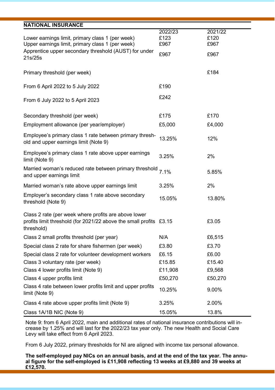| <b>NATIONAL INSURANCE</b>                                                                                                                |                         |                         |
|------------------------------------------------------------------------------------------------------------------------------------------|-------------------------|-------------------------|
| Lower earnings limit, primary class 1 (per week)<br>Upper earnings limit, primary class 1 (per week)                                     | 2022/23<br>£123<br>£967 | 2021/22<br>£120<br>£967 |
| Apprentice upper secondary threshold (AUST) for under<br>21s/25s                                                                         | £967                    | £967                    |
| Primary threshold (per week)                                                                                                             |                         | £184                    |
| From 6 April 2022 to 5 July 2022                                                                                                         | £190                    |                         |
| From 6 July 2022 to 5 April 2023                                                                                                         | £242                    |                         |
| Secondary threshold (per week)                                                                                                           | £175                    | £170                    |
| Employment allowance (per year/employer)                                                                                                 | £5,000                  | £4,000                  |
| Employee's primary class 1 rate between primary thresh-<br>old and upper earnings limit (Note 9)                                         | 13.25%                  | 12%                     |
| Employee's primary class 1 rate above upper earnings<br>limit (Note 9)                                                                   | 3.25%                   | 2%                      |
| Married woman's reduced rate between primary threshold<br>and upper earnings limit                                                       | 7.1%                    | 5.85%                   |
| Married woman's rate above upper earnings limit                                                                                          | 3.25%                   | 2%                      |
| Employer's secondary class 1 rate above secondary<br>threshold (Note 9)                                                                  | 15.05%                  | 13.80%                  |
| Class 2 rate (per week where profits are above lower<br>profits limit threshold (for 2021/22 above the small profits £3.15<br>threshold) |                         | £3.05                   |
| Class 2 small profits threshold (per year)                                                                                               | N/A                     | £6,515                  |
| Special class 2 rate for share fishermen (per week)                                                                                      | £3.80                   | £3.70                   |
| Special class 2 rate for volunteer development workers                                                                                   | £6.15                   | £6.00                   |
| Class 3 voluntary rate (per week)                                                                                                        | £15.85                  | £15.40                  |
| Class 4 lower profits limit (Note 9)                                                                                                     | £11,908                 | £9,568                  |
| Class 4 upper profits limit                                                                                                              | £50,270                 | £50,270                 |
| Class 4 rate between lower profits limit and upper profits<br>limit (Note 9)                                                             | 10.25%                  | 9.00%                   |
| Class 4 rate above upper profits limit (Note 9)                                                                                          | 3.25%                   | 2.00%                   |
| Class 1A/1B NIC (Note 9)                                                                                                                 | 15.05%                  | 13.8%                   |

Note 9: from 6 April 2022, main and additional rates of national insurance contributions will increase by 1.25% and will last for the 2022/23 tax year only. The new Health and Social Care Levy will take effect from 6 April 2023.

From 6 July 2022, primary thresholds for NI are aligned with income tax personal allowance.

**The self-employed pay NICs on an annual basis, and at the end of the tax year. The annual figure for the self-employed is £11,908 reflecting 13 weeks at £9,880 and 39 weeks at £12,570.**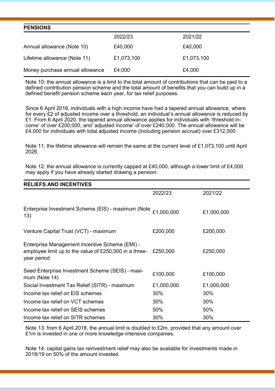| <b>PENSIONS</b>                 |            |            |
|---------------------------------|------------|------------|
|                                 | 2022/23    | 2021/22    |
| Annual allowance (Note 10)      | £40,000    | £40.000    |
| Lifetime allowance (Note 11)    | £1,073,100 | £1,073,100 |
| Money purchase annual allowance | £4,000     | £4,000     |

Note 10: the annual allowance is a limit to the total amount of contributions that can be paid to a defined contribution pension scheme and the total amount of benefits that you can build up in a defined benefit pension scheme each year, for tax relief purposes.

Since 6 April 2016, individuals with a high income have had a tapered annual allowance, where for every £2 of adjusted income over a threshold, an individual's annual allowance is reduced by £1. From 6 April 2020, the tapered annual allowance applies for individuals with 'threshold income' of over £200,000, and 'adjusted income' of over £240,000. The annual allowance will be £4,000 for individuals with total adjusted income (including pension accrual) over £312,000.

Note 11: the lifetime allowance will remain the same at the current level of £1,073,100 until April 2026.

Note 12: the annual allowance is currently capped at £40,000, although a lower limit of £4,000 may apply if you have already started drawing a pension.

| <b>RELIEFS AND INCENTIVES</b>                                                                                           |            |            |
|-------------------------------------------------------------------------------------------------------------------------|------------|------------|
|                                                                                                                         | 2022/23    | 2021/22    |
| Enterprise Investment Scheme (EIS) - maximum (Note $£1,000,000$<br>13)                                                  |            | £1,000,000 |
| Venture Capital Trust (VCT) - maximum                                                                                   | £200,000   | £200,000   |
| Enterprise Management Incentive Scheme (EMI) -<br>employee limit up to the value of £250,000 in a three-<br>year period | £250,000   | £250,000   |
| Seed Enterprise Investment Scheme (SEIS) - maxi-<br>mum (Note 14)                                                       | £100,000   | £100,000   |
| Social Investment Tax Relief (SITR) - maximum                                                                           | £1,000,000 | £1,000,000 |
| Income tax relief on EIS schemes                                                                                        | 30%        | 30%        |
| Income tax relief on VCT schemes                                                                                        | 30%        | 30%        |
| Income tax relief on SEIS schemes                                                                                       | 50%        | 50%        |
| Income tax relief on SITR schemes                                                                                       | 30%        | 30%        |

Note 13: from 6 April 2018, the annual limit is doubled to £2m, provided that any amount over £1m is invested in one or more knowledge-intensive companies.

Note 14: capital gains tax reinvestment relief may also be available for investments made in 2018/19 on 50% of the amount invested.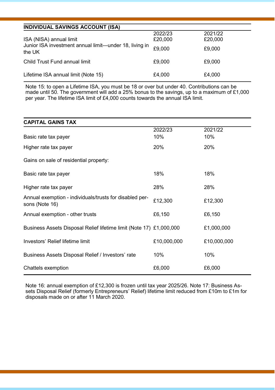### **INDIVIDUAL SAVINGS ACCOUNT (ISA)**

| ISA (NISA) annual limit<br>Junior ISA investment annual limit—under 18, living in<br>the UK | 2022/23<br>£20,000<br>£9.000 | 2021/22<br>£20,000<br>£9,000 |
|---------------------------------------------------------------------------------------------|------------------------------|------------------------------|
| Child Trust Fund annual limit                                                               | £9.000                       | £9,000                       |
| Lifetime ISA annual limit (Note 15)                                                         | £4,000                       | £4,000                       |

Note 15: to open a Lifetime ISA, you must be 18 or over but under 40. Contributions can be made until 50. The government will add a 25% bonus to the savings, up to a maximum of £1,000 per year. The lifetime ISA limit of £4,000 counts towards the annual ISA limit.

#### **CAPITAL GAINS TAX**

|                                                                           | 2022/23     | 2021/22     |
|---------------------------------------------------------------------------|-------------|-------------|
| Basic rate tax payer                                                      | 10%         | 10%         |
| Higher rate tax payer                                                     | 20%         | 20%         |
| Gains on sale of residential property:                                    |             |             |
| Basic rate tax payer                                                      | 18%         | 18%         |
| Higher rate tax payer                                                     | 28%         | 28%         |
| Annual exemption - individuals/trusts for disabled per-<br>sons (Note 16) | £12,300     | £12,300     |
| Annual exemption - other trusts                                           | £6,150      | £6,150      |
| Business Assets Disposal Relief lifetime limit (Note 17) £1,000,000       |             | £1,000,000  |
| Investors' Relief lifetime limit                                          | £10,000,000 | £10,000,000 |
| Business Assets Disposal Relief / Investors' rate                         | 10%         | 10%         |
| Chattels exemption                                                        | £6,000      | £6,000      |

Note 16: annual exemption of £12,300 is frozen until tax year 2025/26. Note 17: Business Assets Disposal Relief (formerly Entrepreneurs' Relief) lifetime limit reduced from £10m to £1m for disposals made on or after 11 March 2020.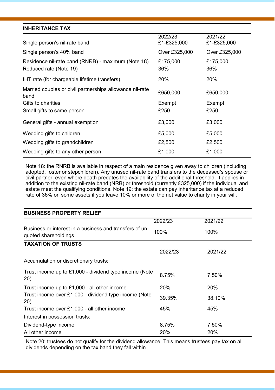#### **INHERITANCE TAX**

| Single person's nil-rate band                                                | 2022/23<br>£1-£325,000 | 2021/22<br>£1-£325,000 |
|------------------------------------------------------------------------------|------------------------|------------------------|
| Single person's 40% band                                                     | Over £325,000          | Over £325,000          |
| Residence nil-rate band (RNRB) - maximum (Note 18)<br>Reduced rate (Note 19) | £175,000<br>36%        | £175,000<br>36%        |
| IHT rate (for chargeable lifetime transfers)                                 | 20%                    | 20%                    |
| Married couples or civil partnerships allowance nil-rate<br>band             | £650,000               | £650,000               |
| Gifts to charities                                                           | Exempt                 | Exempt                 |
| Small gifts to same person                                                   | £250                   | £250                   |
| General gifts - annual exemption                                             | £3,000                 | £3,000                 |
| Wedding gifts to children                                                    | £5,000                 | £5,000                 |
| Wedding gifts to grandchildren                                               | £2,500                 | £2,500                 |
| Wedding gifts to any other person                                            | £1,000                 | £1,000                 |

Note 18: the RNRB is available in respect of a main residence given away to children (including adopted, foster or stepchildren). Any unused nil-rate band transfers to the deceased's spouse or civil partner, even where death predates the availability of the additional threshold. It applies in addition to the existing nil-rate band (NRB) or threshold (currently £325,000) if the individual and estate meet the qualifying conditions. Note 19: the estate can pay inheritance tax at a reduced rate of 36% on some assets if you leave 10% or more of the net value to charity in your will.

| <b>BUSINESS PROPERTY RELIEF</b>                                                 |            |         |
|---------------------------------------------------------------------------------|------------|---------|
|                                                                                 | 2022/23    | 2021/22 |
| Business or interest in a business and transfers of un-<br>quoted shareholdings | 100%       | 100%    |
| <b>TAXATION OF TRUSTS</b>                                                       |            |         |
|                                                                                 | 2022/23    | 2021/22 |
| Accumulation or discretionary trusts:                                           |            |         |
| Trust income up to £1,000 - dividend type income (Note<br>20)                   | 8.75%      | 7.50%   |
| Trust income up to £1,000 - all other income                                    | <b>20%</b> | 20%     |
| Trust income over £1,000 - dividend type income (Note<br>20)                    | 39.35%     | 38.10%  |
| Trust income over £1,000 - all other income                                     | 45%        | 45%     |
| Interest in possession trusts:                                                  |            |         |
| Dividend-type income                                                            | 8.75%      | 7.50%   |
| All other income                                                                | 20%        | 20%     |

Note 20: trustees do not qualify for the dividend allowance. This means trustees pay tax on all dividends depending on the tax band they fall within.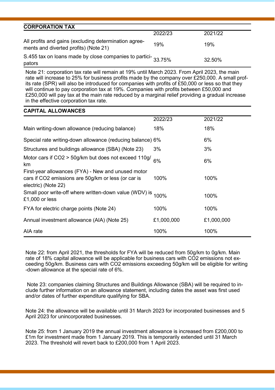| <b>CORPORATION TAX</b>                                                                         |         |         |
|------------------------------------------------------------------------------------------------|---------|---------|
|                                                                                                | 2022/23 | 2021/22 |
| All profits and gains (excluding determination agree-<br>ments and diverted profits) (Note 21) | 19%     | 19%     |
| S.455 tax on loans made by close companies to partici-33.75%<br>pators                         |         | 32.50%  |

Note 21: corporation tax rate will remain at 19% until March 2023. From April 2023, the main rate will increase to 25% for business profits made by the company over £250,000. A small profits rate (SPR) will also be introduced for companies with profits of £50,000 or less so that they will continue to pay corporation tax at 19%. Companies with profits between £50,000 and £250,000 will pay tax at the main rate reduced by a marginal relief providing a gradual increase in the effective corporation tax rate.

## **CAPITAL ALLOWANCES** 2022/23 2021/22 Main writing-down allowance (reducing balance) 18% 18% 18% Special rate writing-down allowance (reducing balance) 6% 6% Structures and buildings allowance (SBA) (Note 23) 3% 3% Motor cars if CO2 > 50g/km but does not exceed 110g/ km 6% 6% First-year allowances (FYA) - New and unused motor cars if CO2 emissions are 50g/km or less (or car is electric) (Note 22) 100% 100% Small poor write-off where written-down value (WDV) is <sub>100%</sub> 100%<br>£1,000 or less FYA for electric charge points (Note 24) 100% 100% 100% Annual investment allowance (AIA) (Note 25)  $£1,000,000$  £1,000,000 AIA rate 100% 100% 100%

Note 22: from April 2021, the thresholds for FYA will be reduced from 50g/km to 0g/km. Main rate of 18% capital allowance will be applicable for business cars with CO2 emissions not exceeding 50g/km. Business cars with CO2 emissions exceeding 50g/km will be eligible for writing -down allowance at the special rate of 6%.

Note 23: companies claiming Structures and Buildings Allowance (SBA) will be required to include further information on an allowance statement, including dates the asset was first used and/or dates of further expenditure qualifying for SBA.

Note 24: the allowance will be available until 31 March 2023 for incorporated businesses and 5 April 2023 for unincorporated businesses.

Note 25: from 1 January 2019 the annual investment allowance is increased from £200,000 to £1m for investment made from 1 January 2019. This is temporarily extended until 31 March 2023. The threshold will revert back to £200,000 from 1 April 2023.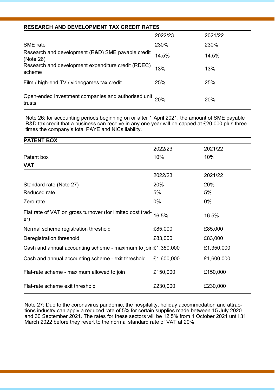#### **RESEARCH AND DEVELOPMENT TAX CREDIT RATES**

|                                                                   | 2022/23 | 2021/22 |
|-------------------------------------------------------------------|---------|---------|
| SME rate                                                          | 230%    | 230%    |
| Research and development (R&D) SME payable credit<br>(Note 26)    | 14.5%   | 14.5%   |
| Research and development expenditure credit (RDEC)<br>scheme      | 13%     | 13%     |
| Film / high-end TV / videogames tax credit                        | 25%     | 25%     |
| Open-ended investment companies and authorised unit 20%<br>trusts |         | 20%     |

Note 26: for accounting periods beginning on or after 1 April 2021, the amount of SME payable R&D tax credit that a business can receive in any one year will be capped at £20,000 plus three times the company's total PAYE and NICs liability.

| <b>PATENT BOX</b>                                                 |            |            |
|-------------------------------------------------------------------|------------|------------|
|                                                                   | 2022/23    | 2021/22    |
| Patent box                                                        | 10%        | 10%        |
| VAT                                                               |            |            |
|                                                                   | 2022/23    | 2021/22    |
| Standard rate (Note 27)                                           | 20%        | 20%        |
| Reduced rate                                                      | 5%         | 5%         |
| Zero rate                                                         | 0%         | $0\%$      |
| Flat rate of VAT on gross turnover (for limited cost trad-<br>er) | 16.5%      | 16.5%      |
| Normal scheme registration threshold                              | £85,000    | £85,000    |
| Deregistration threshold                                          | £83,000    | £83,000    |
| Cash and annual accounting scheme - maximum to join $£1,350,000$  |            | £1,350,000 |
| Cash and annual accounting scheme - exit threshold                | £1,600,000 | £1,600,000 |
| Flat-rate scheme - maximum allowed to join                        | £150,000   | £150,000   |
| Flat-rate scheme exit threshold                                   | £230,000   | £230,000   |

Note 27: Due to the coronavirus pandemic, the hospitality, holiday accommodation and attractions industry can apply a reduced rate of 5% for certain supplies made between 15 July 2020 and 30 September 2021. The rates for these sectors will be 12.5% from 1 October 2021 until 31 March 2022 before they revert to the normal standard rate of VAT at 20%.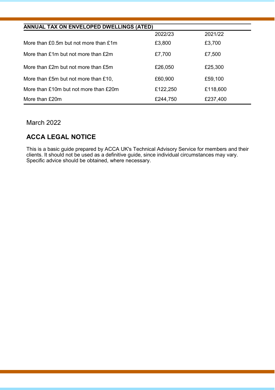| ANNUAL TAX ON ENVELOPED DWELLINGS (ATED) |          |          |  |  |
|------------------------------------------|----------|----------|--|--|
|                                          | 2022/23  | 2021/22  |  |  |
| More than £0.5m but not more than £1m    | £3,800   | £3,700   |  |  |
| More than £1m but not more than £2m      | £7,700   | £7,500   |  |  |
| More than £2m but not more than £5m      | £26.050  | £25,300  |  |  |
| More than £5m but not more than £10.     | £60,900  | £59,100  |  |  |
| More than £10m but not more than £20m    | £122,250 | £118,600 |  |  |
| More than £20m                           | £244.750 | £237,400 |  |  |

### March 2022

## **ACCA LEGAL NOTICE**

This is a basic guide prepared by ACCA UK's Technical Advisory Service for members and their clients. It should not be used as a definitive guide, since individual circumstances may vary. Specific advice should be obtained, where necessary.